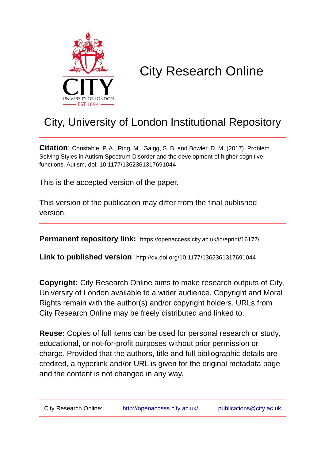

# City Research Online

## City, University of London Institutional Repository

**Citation**: Constable, P. A., Ring, M., Gaigg, S. B. and Bowler, D. M. (2017). Problem Solving Styles in Autism Spectrum Disorder and the development of higher cognitive functions. Autism, doi: 10.1177/1362361317691044

This is the accepted version of the paper.

This version of the publication may differ from the final published version.

**Permanent repository link:** https://openaccess.city.ac.uk/id/eprint/16177/

**Link to published version**: http://dx.doi.org/10.1177/1362361317691044

**Copyright:** City Research Online aims to make research outputs of City, University of London available to a wider audience. Copyright and Moral Rights remain with the author(s) and/or copyright holders. URLs from City Research Online may be freely distributed and linked to.

**Reuse:** Copies of full items can be used for personal research or study, educational, or not-for-profit purposes without prior permission or charge. Provided that the authors, title and full bibliographic details are credited, a hyperlink and/or URL is given for the original metadata page and the content is not changed in any way.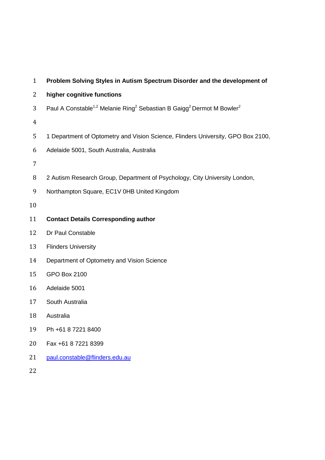| $\mathbf{1}$   | Problem Solving Styles in Autism Spectrum Disorder and the development of                                             |
|----------------|-----------------------------------------------------------------------------------------------------------------------|
| 2              | higher cognitive functions                                                                                            |
| 3              | Paul A Constable <sup>1,2</sup> Melanie Ring <sup>2</sup> Sebastian B Gaigg <sup>2</sup> Dermot M Bowler <sup>2</sup> |
| $\overline{4}$ |                                                                                                                       |
| 5              | 1 Department of Optometry and Vision Science, Flinders University, GPO Box 2100,                                      |
| 6              | Adelaide 5001, South Australia, Australia                                                                             |
| 7              |                                                                                                                       |
| 8              | 2 Autism Research Group, Department of Psychology, City University London,                                            |
| 9              | Northampton Square, EC1V 0HB United Kingdom                                                                           |
| 10             |                                                                                                                       |
| 11             | <b>Contact Details Corresponding author</b>                                                                           |
| 12             | Dr Paul Constable                                                                                                     |
| 13             | <b>Flinders University</b>                                                                                            |
| 14             | Department of Optometry and Vision Science                                                                            |
| 15             | <b>GPO Box 2100</b>                                                                                                   |
| 16             | Adelaide 5001                                                                                                         |
| 17             | South Australia                                                                                                       |
| 18             | Australia                                                                                                             |
| 19             | Ph +61 8 7221 8400                                                                                                    |
| 20             | Fax +61 8 7221 8399                                                                                                   |
| 21             | paul.constable@flinders.edu.au                                                                                        |
| 22             |                                                                                                                       |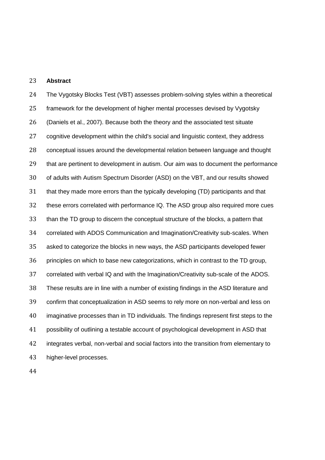#### **Abstract**

 The Vygotsky Blocks Test (VBT) assesses problem-solving styles within a theoretical framework for the development of higher mental processes devised by Vygotsky (Daniels et al., 2007). Because both the theory and the associated test situate 27 cognitive development within the child's social and linguistic context, they address conceptual issues around the developmental relation between language and thought that are pertinent to development in autism. Our aim was to document the performance of adults with Autism Spectrum Disorder (ASD) on the VBT, and our results showed that they made more errors than the typically developing (TD) participants and that these errors correlated with performance IQ. The ASD group also required more cues than the TD group to discern the conceptual structure of the blocks, a pattern that correlated with ADOS Communication and Imagination/Creativity sub-scales. When asked to categorize the blocks in new ways, the ASD participants developed fewer principles on which to base new categorizations, which in contrast to the TD group, correlated with verbal IQ and with the Imagination/Creativity sub-scale of the ADOS. These results are in line with a number of existing findings in the ASD literature and confirm that conceptualization in ASD seems to rely more on non-verbal and less on imaginative processes than in TD individuals. The findings represent first steps to the possibility of outlining a testable account of psychological development in ASD that integrates verbal, non-verbal and social factors into the transition from elementary to higher-level processes.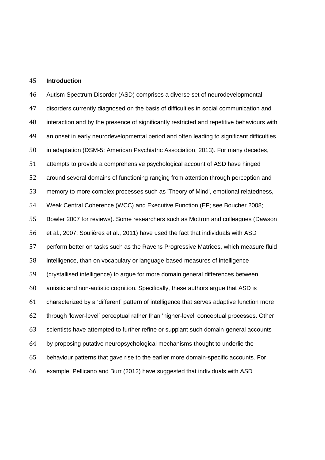#### **Introduction**

 Autism Spectrum Disorder (ASD) comprises a diverse set of neurodevelopmental disorders currently diagnosed on the basis of difficulties in social communication and 48 interaction and by the presence of significantly restricted and repetitive behaviours with an onset in early neurodevelopmental period and often leading to significant difficulties in adaptation (DSM-5: American Psychiatric Association, 2013). For many decades, attempts to provide a comprehensive psychological account of ASD have hinged around several domains of functioning ranging from attention through perception and memory to more complex processes such as 'Theory of Mind', emotional relatedness, Weak Central Coherence (WCC) and Executive Function (EF; see Boucher 2008; Bowler 2007 for reviews). Some researchers such as Mottron and colleagues (Dawson et al., 2007; Soulières et al., 2011) have used the fact that individuals with ASD perform better on tasks such as the Ravens Progressive Matrices, which measure fluid intelligence, than on vocabulary or language-based measures of intelligence (crystallised intelligence) to argue for more domain general differences between autistic and non-autistic cognition. Specifically, these authors argue that ASD is characterized by a 'different' pattern of intelligence that serves adaptive function more through 'lower-level' perceptual rather than 'higher-level' conceptual processes. Other scientists have attempted to further refine or supplant such domain-general accounts by proposing putative neuropsychological mechanisms thought to underlie the behaviour patterns that gave rise to the earlier more domain-specific accounts. For example, Pellicano and Burr (2012) have suggested that individuals with ASD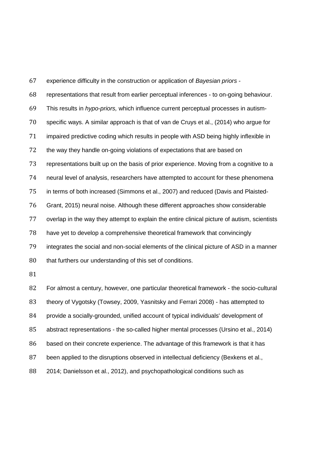experience difficulty in the construction or application of *Bayesian priors* - representations that result from earlier perceptual inferences - to on-going behaviour. This results in *hypo-priors,* which influence current perceptual processes in autism- specific ways. A similar approach is that of van de Cruys et al., (2014) who argue for impaired predictive coding which results in people with ASD being highly inflexible in 72 the way they handle on-going violations of expectations that are based on representations built up on the basis of prior experience. Moving from a cognitive to a neural level of analysis, researchers have attempted to account for these phenomena in terms of both increased (Simmons et al., 2007) and reduced (Davis and Plaisted- Grant, 2015) neural noise. Although these different approaches show considerable overlap in the way they attempt to explain the entire clinical picture of autism, scientists have yet to develop a comprehensive theoretical framework that convincingly integrates the social and non-social elements of the clinical picture of ASD in a manner 80 that furthers our understanding of this set of conditions. 

 For almost a century, however, one particular theoretical framework - the socio-cultural theory of Vygotsky (Towsey, 2009, Yasnitsky and Ferrari 2008) - has attempted to provide a socially-grounded, unified account of typical individuals' development of abstract representations - the so-called higher mental processes (Ursino et al., 2014) based on their concrete experience. The advantage of this framework is that it has been applied to the disruptions observed in intellectual deficiency (Bexkens et al., 2014; Danielsson et al., 2012), and psychopathological conditions such as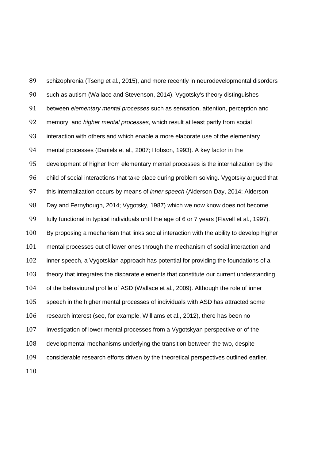schizophrenia (Tseng et al., 2015), and more recently in neurodevelopmental disorders such as autism (Wallace and Stevenson, 2014). Vygotsky's theory distinguishes between *elementary mental processes* such as sensation, attention, perception and memory, and *higher mental processes*, which result at least partly from social interaction with others and which enable a more elaborate use of the elementary mental processes (Daniels et al., 2007; Hobson, 1993). A key factor in the development of higher from elementary mental processes is the internalization by the child of social interactions that take place during problem solving. Vygotsky argued that this internalization occurs by means of *inner speech* (Alderson-Day, 2014; Alderson- Day and Fernyhough, 2014; Vygotsky, 1987) which we now know does not become fully functional in typical individuals until the age of 6 or 7 years (Flavell et al., 1997). By proposing a mechanism that links social interaction with the ability to develop higher mental processes out of lower ones through the mechanism of social interaction and inner speech, a Vygotskian approach has potential for providing the foundations of a theory that integrates the disparate elements that constitute our current understanding of the behavioural profile of ASD (Wallace et al., 2009). Although the role of inner speech in the higher mental processes of individuals with ASD has attracted some research interest (see, for example, Williams et al., 2012), there has been no investigation of lower mental processes from a Vygotskyan perspective or of the developmental mechanisms underlying the transition between the two, despite considerable research efforts driven by the theoretical perspectives outlined earlier.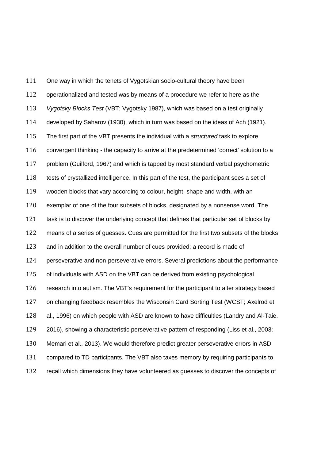One way in which the tenets of Vygotskian socio-cultural theory have been operationalized and tested was by means of a procedure we refer to here as the *Vygotsky Blocks Test* (VBT; Vygotsky 1987), which was based on a test originally developed by Saharov (1930), which in turn was based on the ideas of Ach (1921). The first part of the VBT presents the individual with a *structured* task to explore 116 convergent thinking - the capacity to arrive at the predetermined 'correct' solution to a problem (Guilford, 1967) and which is tapped by most standard verbal psychometric tests of crystallized intelligence. In this part of the test, the participant sees a set of wooden blocks that vary according to colour, height, shape and width, with an exemplar of one of the four subsets of blocks, designated by a nonsense word. The task is to discover the underlying concept that defines that particular set of blocks by means of a series of guesses. Cues are permitted for the first two subsets of the blocks and in addition to the overall number of cues provided; a record is made of perseverative and non-perseverative errors. Several predictions about the performance of individuals with ASD on the VBT can be derived from existing psychological research into autism. The VBT's requirement for the participant to alter strategy based on changing feedback resembles the Wisconsin Card Sorting Test (WCST; Axelrod et al., 1996) on which people with ASD are known to have difficulties (Landry and Al-Taie, 2016), showing a characteristic perseverative pattern of responding (Liss et al., 2003; Memari et al., 2013). We would therefore predict greater perseverative errors in ASD compared to TD participants. The VBT also taxes memory by requiring participants to recall which dimensions they have volunteered as guesses to discover the concepts of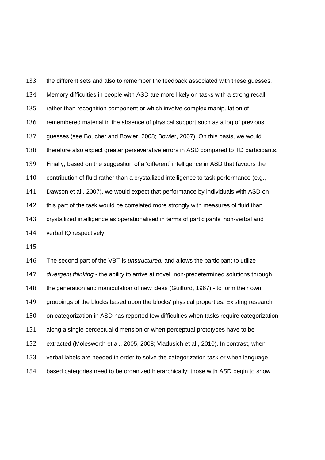the different sets and also to remember the feedback associated with these guesses. Memory difficulties in people with ASD are more likely on tasks with a strong recall rather than recognition component or which involve complex manipulation of remembered material in the absence of physical support such as a log of previous guesses (see Boucher and Bowler, 2008; Bowler, 2007). On this basis, we would therefore also expect greater perseverative errors in ASD compared to TD participants. Finally, based on the suggestion of a 'different' intelligence in ASD that favours the contribution of fluid rather than a crystallized intelligence to task performance (e.g., Dawson et al., 2007), we would expect that performance by individuals with ASD on 142 this part of the task would be correlated more strongly with measures of fluid than crystallized intelligence as operationalised in terms of participants' non-verbal and verbal IQ respectively.

 The second part of the VBT is *unstructured,* and allows the participant to utilize *divergent thinking* - the ability to arrive at novel, non-predetermined solutions through the generation and manipulation of new ideas (Guilford, 1967) - to form their own groupings of the blocks based upon the blocks' physical properties. Existing research on categorization in ASD has reported few difficulties when tasks require categorization along a single perceptual dimension or when perceptual prototypes have to be extracted (Molesworth et al., 2005, 2008; Vladusich et al., 2010). In contrast, when verbal labels are needed in order to solve the categorization task or when language-based categories need to be organized hierarchically; those with ASD begin to show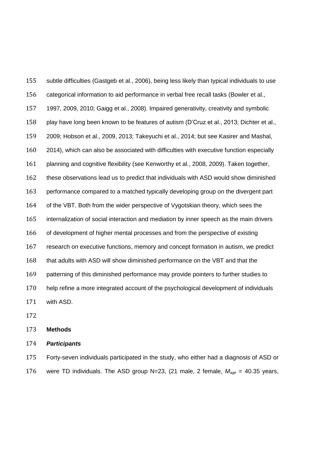subtle difficulties (Gastgeb et al., 2006), being less likely than typical individuals to use categorical information to aid performance in verbal free recall tasks (Bowler et al., 1997, 2009, 2010; Gaigg et al., 2008). Impaired generativity, creativity and symbolic play have long been known to be features of autism (D'Cruz et al., 2013; Dichter et al., 2009; Hobson et al., 2009, 2013; Takeyuchi et al., 2014; but see Kasirer and Mashal, 160 2014), which can also be associated with difficulties with executive function especially 161 planning and cognitive flexibility (see Kenworthy et al., 2008, 2009). Taken together, these observations lead us to predict that individuals with ASD would show diminished performance compared to a matched typically developing group on the divergent part of the VBT. Both from the wider perspective of Vygotskian theory, which sees the internalization of social interaction and mediation by inner speech as the main drivers of development of higher mental processes and from the perspective of existing research on executive functions, memory and concept formation in autism, we predict that adults with ASD will show diminished performance on the VBT and that the 169 patterning of this diminished performance may provide pointers to further studies to help refine a more integrated account of the psychological development of individuals with ASD.

#### **Methods**

#### *Participants*

 Forty-seven individuals participated in the study, who either had a diagnosis of ASD or 176 were TD individuals. The ASD group N=23, (21 male, 2 female,  $M_{age} = 40.35$  years,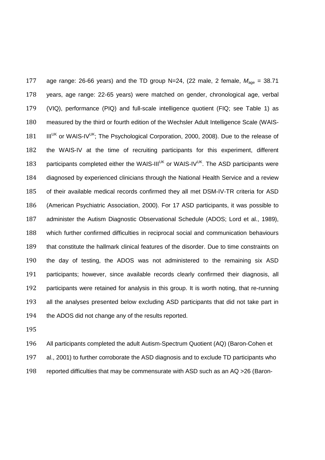177 age range: 26-66 years) and the TD group N=24, (22 male, 2 female,  $M_{\text{age}} = 38.71$  years, age range: 22-65 years) were matched on gender, chronological age, verbal (VIQ), performance (PIQ) and full-scale intelligence quotient (FIQ; see Table 1) as measured by the third or fourth edition of the Wechsler Adult Intelligence Scale (WAIS-181 IIIUK or WAIS-IVUK; The Psychological Corporation, 2000, 2008). Due to the release of the WAIS-IV at the time of recruiting participants for this experiment, different 183 participants completed either the WAIS-III<sup>UK</sup> or WAIS-IV<sup>UK</sup>. The ASD participants were diagnosed by experienced clinicians through the National Health Service and a review of their available medical records confirmed they all met DSM-IV-TR criteria for ASD (American Psychiatric Association, 2000). For 17 ASD participants, it was possible to administer the Autism Diagnostic Observational Schedule (ADOS; Lord et al., 1989), which further confirmed difficulties in reciprocal social and communication behaviours that constitute the hallmark clinical features of the disorder. Due to time constraints on the day of testing, the ADOS was not administered to the remaining six ASD participants; however, since available records clearly confirmed their diagnosis, all participants were retained for analysis in this group. It is worth noting, that re-running all the analyses presented below excluding ASD participants that did not take part in the ADOS did not change any of the results reported.

 All participants completed the adult Autism-Spectrum Quotient (AQ) (Baron-Cohen et al., 2001) to further corroborate the ASD diagnosis and to exclude TD participants who reported difficulties that may be commensurate with ASD such as an AQ >26 (Baron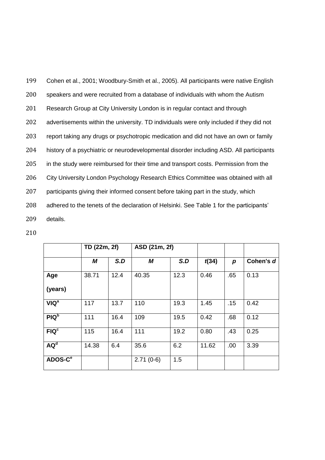Cohen et al., 2001; Woodbury-Smith et al., 2005). All participants were native English speakers and were recruited from a database of individuals with whom the Autism Research Group at City University London is in regular contact and through advertisements within the university. TD individuals were only included if they did not report taking any drugs or psychotropic medication and did not have an own or family history of a psychiatric or neurodevelopmental disorder including ASD. All participants 205 in the study were reimbursed for their time and transport costs. Permission from the City University London Psychology Research Ethics Committee was obtained with all participants giving their informed consent before taking part in the study, which adhered to the tenets of the declaration of Helsinki. See Table 1 for the participants' 209 details.

|                     | TD (22m, 2f) |      | ASD (21m, 2f) |      |       |                  |           |
|---------------------|--------------|------|---------------|------|-------|------------------|-----------|
|                     | M            | S.D  | M             | S.D  | t(34) | $\boldsymbol{p}$ | Cohen's d |
| Age                 | 38.71        | 12.4 | 40.35         | 12.3 | 0.46  | .65              | 0.13      |
| (years)             |              |      |               |      |       |                  |           |
| VIQ <sup>a</sup>    | 117          | 13.7 | 110           | 19.3 | 1.45  | .15              | 0.42      |
| PIQ <sub>p</sub>    | 111          | 16.4 | 109           | 19.5 | 0.42  | .68              | 0.12      |
| FIQ <sup>c</sup>    | 115          | 16.4 | 111           | 19.2 | 0.80  | .43              | 0.25      |
| AQ <sup>d</sup>     | 14.38        | 6.4  | 35.6          | 6.2  | 11.62 | .00              | 3.39      |
| ADOS-C <sup>e</sup> |              |      | $2.71(0-6)$   | 1.5  |       |                  |           |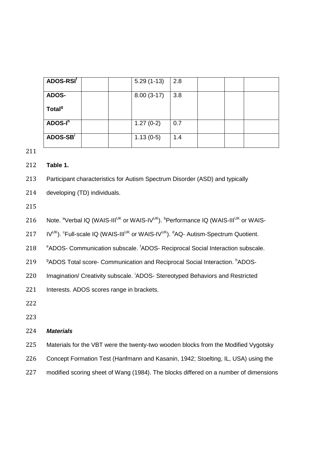| ADOS-RSI <sup>f</sup> |  | $5.29(1-13)$ | 2.8 |  |  |
|-----------------------|--|--------------|-----|--|--|
| <b>ADOS-</b>          |  | $8.00(3-17)$ | 3.8 |  |  |
| Total <sup>9</sup>    |  |              |     |  |  |
| ADOS-I <sup>h</sup>   |  | $1.27(0-2)$  | 0.7 |  |  |
| ADOS-SB <sup>i</sup>  |  | $1.13(0-5)$  | 1.4 |  |  |

212 **Table 1.** 

213 Participant characteristics for Autism Spectrum Disorder (ASD) and typically

214 developing (TD) individuals.

215

216 Note. <sup>a</sup>Verbal IQ (WAIS-III<sup>UK</sup> or WAIS-IV<sup>UK</sup>). **PPerformance IQ (WAIS-III<sup>UK</sup> or WAIS-**

217  $IV^{UK}$ ).  $^c$ Full-scale IQ (WAIS-III<sup>UK</sup> or WAIS-IV<sup>UK</sup>).  $^d$ AQ- Autism-Spectrum Quotient.

218 <sup>e</sup>ADOS- Communication subscale. <sup>f</sup>ADOS- Reciprocal Social Interaction subscale.

219 **9ADOS Total score- Communication and Reciprocal Social Interaction.** hADOS-

220 Imagination/ Creativity subscale. <sup>i</sup>ADOS- Stereotyped Behaviors and Restricted

221 Interests. ADOS scores range in brackets.

222

223

#### 224 *Materials*

- 225 Materials for the VBT were the twenty-two wooden blocks from the Modified Vygotsky
- 226 Concept Formation Test (Hanfmann and Kasanin, 1942; Stoelting, IL, USA) using the
- 227 modified scoring sheet of Wang (1984). The blocks differed on a number of dimensions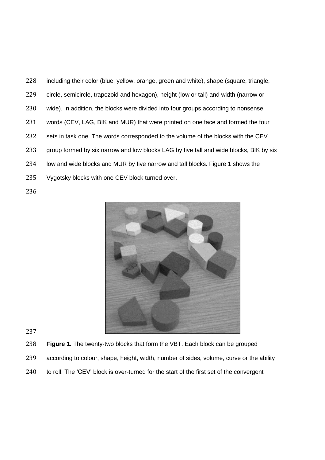including their color (blue, yellow, orange, green and white), shape (square, triangle, circle, semicircle, trapezoid and hexagon), height (low or tall) and width (narrow or wide). In addition, the blocks were divided into four groups according to nonsense words (CEV, LAG, BIK and MUR) that were printed on one face and formed the four 232 sets in task one. The words corresponded to the volume of the blocks with the CEV group formed by six narrow and low blocks LAG by five tall and wide blocks, BIK by six low and wide blocks and MUR by five narrow and tall blocks. Figure 1 shows the Vygotsky blocks with one CEV block turned over.



- **Figure 1.** The twenty-two blocks that form the VBT. Each block can be grouped
- according to colour, shape, height, width, number of sides, volume, curve or the ability
- 240 to roll. The 'CEV' block is over-turned for the start of the first set of the convergent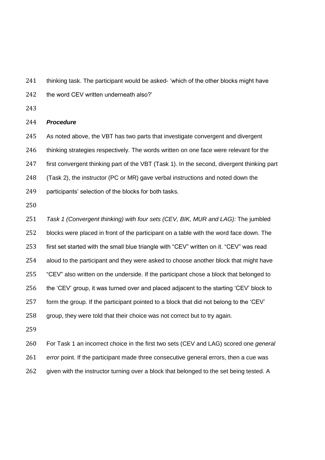241 thinking task. The participant would be asked- 'which of the other blocks might have

242 the word CEV written underneath also?'

#### *Procedure*

As noted above, the VBT has two parts that investigate convergent and divergent

246 thinking strategies respectively. The words written on one face were relevant for the

first convergent thinking part of the VBT (Task 1). In the second, divergent thinking part

(Task 2), the instructor (PC or MR) gave verbal instructions and noted down the

participants' selection of the blocks for both tasks.

 *Task 1 (Convergent thinking) with four sets (CEV, BIK, MUR and LAG):* The jumbled blocks were placed in front of the participant on a table with the word face down. The first set started with the small blue triangle with "CEV" written on it. "CEV" was read aloud to the participant and they were asked to choose another block that might have "CEV" also written on the underside. If the participant chose a block that belonged to the 'CEV' group, it was turned over and placed adjacent to the starting 'CEV' block to form the group. If the participant pointed to a block that did not belong to the 'CEV' group, they were told that their choice was not correct but to try again. 

 For Task 1 an incorrect choice in the first two sets (CEV and LAG) scored one *general error* point. If the participant made three consecutive general errors, then a cue was 262 given with the instructor turning over a block that belonged to the set being tested. A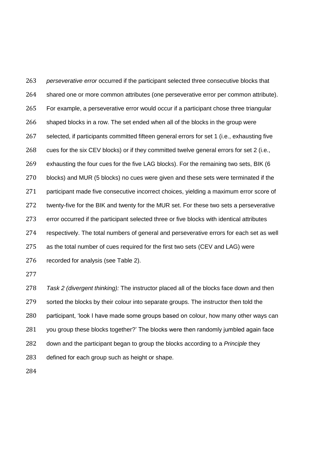*perseverative error* occurred if the participant selected three consecutive blocks that 264 shared one or more common attributes (one perseverative error per common attribute). For example, a perseverative error would occur if a participant chose three triangular 266 shaped blocks in a row. The set ended when all of the blocks in the group were selected, if participants committed fifteen general errors for set 1 (i.e., exhausting five 268 cues for the six CEV blocks) or if they committed twelve general errors for set 2 (i.e., exhausting the four cues for the five LAG blocks). For the remaining two sets, BIK (6 blocks) and MUR (5 blocks) no cues were given and these sets were terminated if the participant made five consecutive incorrect choices, yielding a maximum error score of twenty-five for the BIK and twenty for the MUR set. For these two sets a perseverative error occurred if the participant selected three or five blocks with identical attributes respectively. The total numbers of general and perseverative errors for each set as well as the total number of cues required for the first two sets (CEV and LAG) were recorded for analysis (see Table 2). *Task 2 (divergent thinking):* The instructor placed all of the blocks face down and then

279 sorted the blocks by their colour into separate groups. The instructor then told the participant, 'look I have made some groups based on colour, how many other ways can you group these blocks together?' The blocks were then randomly jumbled again face down and the participant began to group the blocks according to a *Principle* they defined for each group such as height or shape.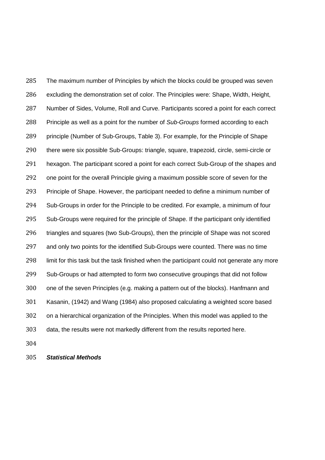The maximum number of Principles by which the blocks could be grouped was seven excluding the demonstration set of color. The Principles were: Shape, Width, Height, Number of Sides, Volume, Roll and Curve. Participants scored a point for each correct Principle as well as a point for the number of *Sub-Groups* formed according to each principle (Number of Sub-Groups, Table 3). For example, for the Principle of Shape there were six possible Sub-Groups: triangle, square, trapezoid, circle, semi-circle or hexagon. The participant scored a point for each correct Sub-Group of the shapes and one point for the overall Principle giving a maximum possible score of seven for the Principle of Shape. However, the participant needed to define a minimum number of Sub-Groups in order for the Principle to be credited. For example, a minimum of four Sub-Groups were required for the principle of Shape. If the participant only identified triangles and squares (two Sub-Groups), then the principle of Shape was not scored and only two points for the identified Sub-Groups were counted. There was no time 298 limit for this task but the task finished when the participant could not generate any more Sub-Groups or had attempted to form two consecutive groupings that did not follow one of the seven Principles (e.g. making a pattern out of the blocks). Hanfmann and Kasanin, (1942) and Wang (1984) also proposed calculating a weighted score based on a hierarchical organization of the Principles. When this model was applied to the data, the results were not markedly different from the results reported here.

*Statistical Methods*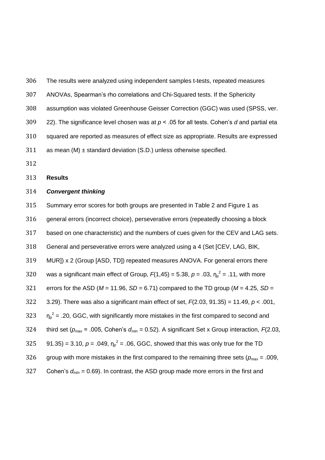| 306 | The results were analyzed using independent samples t-tests, repeated measures               |
|-----|----------------------------------------------------------------------------------------------|
| 307 | ANOVAs, Spearman's rho correlations and Chi-Squared tests. If the Sphericity                 |
| 308 | assumption was violated Greenhouse Geisser Correction (GGC) was used (SPSS, ver.             |
| 309 | 22). The significance level chosen was at $p < .05$ for all tests. Cohen's d and partial eta |
| 310 | squared are reported as measures of effect size as appropriate. Results are expressed        |
| 311 | as mean (M) $\pm$ standard deviation (S.D.) unless otherwise specified.                      |
| 312 |                                                                                              |

**Results**

#### *Convergent thinking*

Summary error scores for both groups are presented in Table 2 and Figure 1 as

general errors (incorrect choice), perseverative errors (repeatedly choosing a block

based on one characteristic) and the numbers of cues given for the CEV and LAG sets.

General and perseverative errors were analyzed using a 4 (Set [CEV, LAG, BIK,

MUR]) x 2 (Group [ASD, TD]) repeated measures ANOVA. For general errors there

320 was a significant main effect of Group,  $F(1,45) = 5.38$ ,  $p = .03$ ,  $\eta_p^2 = .11$ , with more

321 errors for the ASD ( $M = 11.96$ ,  $SD = 6.71$ ) compared to the TD group ( $M = 4.25$ ,  $SD =$ 

3.29). There was also a significant main effect of set, *F*(2.03, 91.35) = 11.49, *p* < .001,

 $\eta_p^2$  = .20, GGC, with significantly more mistakes in the first compared to second and

third set (*pmax* = .005, Cohen's *dmin* = 0.52). A significant Set x Group interaction, *F*(2.03,

325  $91.35$  = 3.10,  $p = .049$ ,  $\eta_p^2 = .06$ , GGC, showed that this was only true for the TD

group with more mistakes in the first compared to the remaining three sets (*pmax* = .009,

Cohen's *dmin* = 0.69). In contrast, the ASD group made more errors in the first and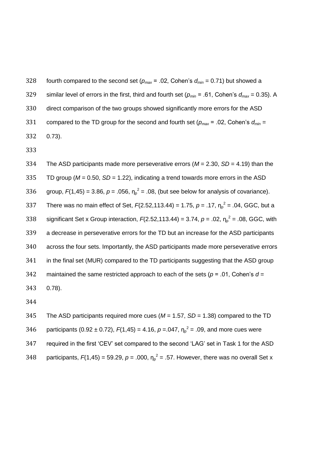328 fourth compared to the second set  $(p_{max} = .02,$  Cohen's  $d_{min} = 0.71$ ) but showed a 329 similar level of errors in the first, third and fourth set ( $p_{min}$  = .61, Cohen's  $d_{max}$  = 0.35). A direct comparison of the two groups showed significantly more errors for the ASD 331 compared to the TD group for the second and fourth set ( $p_{max}$  = .02, Cohen's  $d_{min}$  = 0.73).

 The ASD participants made more perseverative errors (*M* = 2.30, *SD* = 4.19) than the TD group (*M* = 0.50, *SD* = 1.22), indicating a trend towards more errors in the ASD 336 group,  $F(1,45) = 3.86$ ,  $p = .056$ ,  $\eta_p^2 = .08$ , (but see below for analysis of covariance). 337 There was no main effect of Set,  $F(2.52, 113.44) = 1.75$ ,  $p = .17$ ,  $\eta_p^2 = .04$ , GGC, but a 338 significant Set x Group interaction,  $F(2.52,113.44) = 3.74$ ,  $p = .02$ ,  $\eta_p^2 = .08$ , GGC, with a decrease in perseverative errors for the TD but an increase for the ASD participants across the four sets. Importantly, the ASD participants made more perseverative errors in the final set (MUR) compared to the TD participants suggesting that the ASD group maintained the same restricted approach to each of the sets (*p* = .01, Cohen's *d* = 0.78).

 The ASD participants required more cues (*M* = 1.57, *SD* = 1.38) compared to the TD 346 participants (0.92 ± 0.72),  $F(1,45) = 4.16$ ,  $p = .047$ ,  $\eta_p^2 = .09$ , and more cues were required in the first 'CEV' set compared to the second 'LAG' set in Task 1 for the ASD 348 participants,  $F(1,45) = 59.29$ ,  $p = .000$ ,  $\eta_p^2 = .57$ . However, there was no overall Set x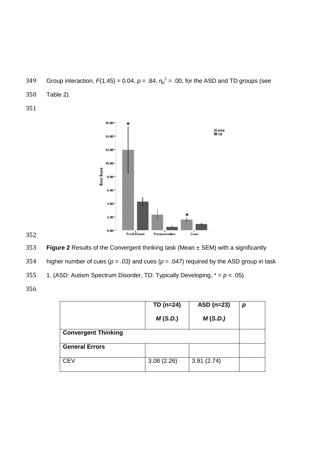- 349 Group interaction,  $F(1,45) = 0.04$ ,  $p = .84$ ,  $\eta_p^2 = .00$ , for the ASD and TD groups (see
- 350 Table 2).
- 351



353 **Figure 2** Results of the Convergent thinking task (Mean ± SEM) with a significantly

354 higher number of cues (*p = .03)* and cues (*p* = .047) required by the ASD group in task

355 1. (ASD: Autism Spectrum Disorder, TD: Typically Developing,  $* = p < .05$ ).

|                            | $TD (n=24)$ | ASD $(n=23)$ | р |
|----------------------------|-------------|--------------|---|
|                            | M(S.D.)     | M(S.D.)      |   |
| <b>Convergent Thinking</b> |             |              |   |
| <b>General Errors</b>      |             |              |   |
| <b>CEV</b>                 | 3.08(2.26)  | 3.91(2.74)   |   |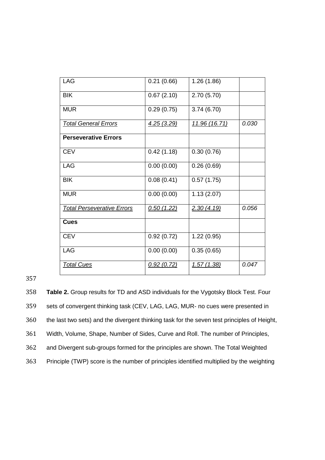| LAG                               | 0.21(0.66) | 1.26(1.86)    |       |
|-----------------------------------|------------|---------------|-------|
| <b>BIK</b>                        | 0.67(2.10) | 2.70(5.70)    |       |
| <b>MUR</b>                        | 0.29(0.75) | 3.74(6.70)    |       |
| <b>Total General Errors</b>       | 4.25(3.29) | 11.96 (16.71) | 0.030 |
| <b>Perseverative Errors</b>       |            |               |       |
| <b>CEV</b>                        | 0.42(1.18) | 0.30(0.76)    |       |
| <b>LAG</b>                        | 0.00(0.00) | 0.26(0.69)    |       |
| <b>BIK</b>                        | 0.08(0.41) | 0.57(1.75)    |       |
| <b>MUR</b>                        | 0.00(0.00) | 1.13(2.07)    |       |
| <b>Total Perseverative Errors</b> | 0.50(1.22) | 2.30(4.19)    | 0.056 |
| <b>Cues</b>                       |            |               |       |
| <b>CEV</b>                        | 0.92(0.72) | 1.22(0.95)    |       |
| LAG                               | 0.00(0.00) | 0.35(0.65)    |       |
| <b>Total Cues</b>                 | 0.92(0.72) | 1.57(1.38)    | 0.047 |

 **Table 2.** Group results for TD and ASD individuals for the Vygotsky Block Test. Four sets of convergent thinking task (CEV, LAG, LAG, MUR- no cues were presented in the last two sets) and the divergent thinking task for the seven test principles of Height, Width, Volume, Shape, Number of Sides, Curve and Roll. The number of Principles, and Divergent sub-groups formed for the principles are shown. The Total Weighted Principle (TWP) score is the number of principles identified multiplied by the weighting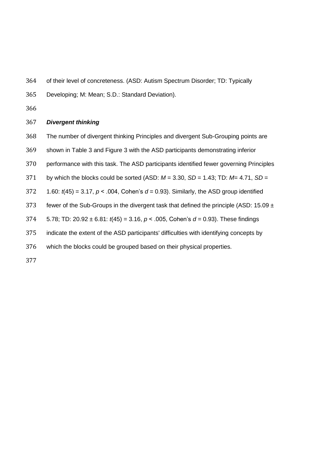- of their level of concreteness. (ASD: Autism Spectrum Disorder; TD: Typically
- Developing; M: Mean; S.D.: Standard Deviation).
- 

#### *Divergent thinking*

- The number of divergent thinking Principles and divergent Sub-Grouping points are
- shown in Table 3 and Figure 3 with the ASD participants demonstrating inferior
- performance with this task. The ASD participants identified fewer governing Principles
- by which the blocks could be sorted (ASD: *M* = 3.30, *SD* = 1.43; TD: *M*= 4.71, *SD* =
- 1.60: *t*(45) = 3.17, *p* < .004, Cohen's *d* = 0.93). Similarly, the ASD group identified
- 373 fewer of the Sub-Groups in the divergent task that defined the principle (ASD:  $15.09 \pm$
- 5.78; TD: 20.92 ± 6.81: *t*(45) = 3.16, *p* < .005, Cohen's *d* = 0.93). These findings
- indicate the extent of the ASD participants' difficulties with identifying concepts by
- which the blocks could be grouped based on their physical properties.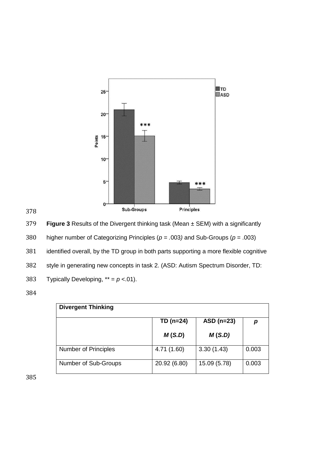

379 **Figure 3** Results of the Divergent thinking task (Mean ± SEM) with a significantly

380 higher number of Categorizing Principles (*p = .*003*)* and Sub-Groups (*p* = .003)

381 identified overall, by the TD group in both parts supporting a more flexible cognitive

382 style in generating new concepts in task 2. (ASD: Autism Spectrum Disorder, TD:

383 Typically Developing,  $** = p < .01$ .

384

| <b>Divergent Thinking</b>   |              |              |       |  |  |  |  |
|-----------------------------|--------------|--------------|-------|--|--|--|--|
|                             | $TD (n=24)$  | $ASD(n=23)$  | р     |  |  |  |  |
|                             | M(S.D)       | M(S.D)       |       |  |  |  |  |
| <b>Number of Principles</b> | 4.71 (1.60)  | 3.30(1.43)   | 0.003 |  |  |  |  |
| Number of Sub-Groups        | 20.92 (6.80) | 15.09 (5.78) | 0.003 |  |  |  |  |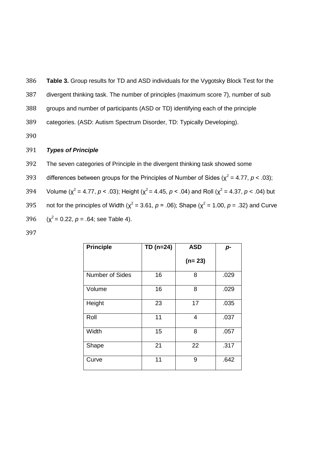386 **Table 3.** Group results for TD and ASD individuals for the Vygotsky Block Test for the

387 divergent thinking task. The number of principles (maximum score 7), number of sub

388 groups and number of participants (ASD or TD) identifying each of the principle

389 categories. (ASD: Autism Spectrum Disorder, TD: Typically Developing).

390

#### 391 *Types of Principle*

392 The seven categories of Principle in the divergent thinking task showed some

393 differences between groups for the Principles of Number of Sides ( $\chi^2$  = 4.77, *p* < .03);

394 Volume ( $\chi^2$  = 4.77, *p* < .03); Height ( $\chi^2$  = 4.45, *p* < .04) and Roll ( $\chi^2$  = 4.37, *p* < .04) but 395 not for the principles of Width ( $\chi^2$  = 3.61, *p* = .06); Shape ( $\chi^2$  = 1.00, *p* = .32) and Curve  $396 \text{ } (x^2 = 0.22, p = .64; \text{ see Table 4}).$ 

| <b>Principle</b>       | $TD (n=24)$ | <b>ASD</b> | $p-$ |
|------------------------|-------------|------------|------|
|                        |             | $(n=23)$   |      |
| <b>Number of Sides</b> | 16          | 8          | .029 |
| Volume                 | 16          | 8          | .029 |
| Height                 | 23          | 17         | .035 |
| Roll                   | 11          | 4          | .037 |
| Width                  | 15          | 8          | .057 |
| Shape                  | 21          | 22         | .317 |
| Curve                  | 11          | 9          | .642 |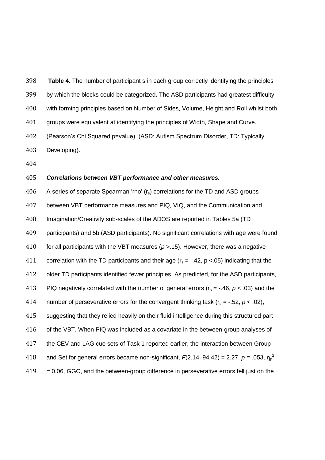**Table 4.** The number of participant s in each group correctly identifying the principles

by which the blocks could be categorized. The ASD participants had greatest difficulty

with forming principles based on Number of Sides, Volume, Height and Roll whilst both

groups were equivalent at identifying the principles of Width, Shape and Curve.

 (Pearson's Chi Squared p=value). (ASD: Autism Spectrum Disorder, TD: Typically Developing).

#### *Correlations between VBT performance and other measures.*

 A series of separate Spearman 'rho'  $(r_s)$  correlations for the TD and ASD groups between VBT performance measures and PIQ, VIQ, and the Communication and Imagination/Creativity sub-scales of the ADOS are reported in Tables 5a (TD participants) and 5b (ASD participants). No significant correlations with age were found for all participants with the VBT measures (*p >*.15). However, there was a negative 411 correlation with the TD participants and their age  $(r_s = -.42, p < .05)$  indicating that the older TD participants identified fewer principles. As predicted, for the ASD participants, 413 PIQ negatively correlated with the number of general errors ( $r_s = -0.46$ ,  $p < 0.03$ ) and the 414 number of perseverative errors for the convergent thinking task  $(r_s = -.52, p < .02)$ , suggesting that they relied heavily on their fluid intelligence during this structured part 416 of the VBT. When PIQ was included as a covariate in the between-group analyses of 417 the CEV and LAG cue sets of Task 1 reported earlier, the interaction between Group and Set for general errors became non-significant,  $F(2.14, 94.42) = 2.27$ ,  $p = .053$ ,  $\eta_p^2$   $419 = 0.06$ , GGC, and the between-group difference in perseverative errors fell just on the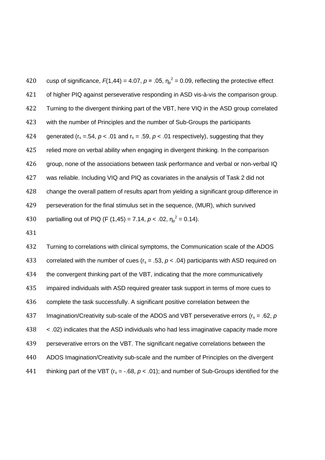420 cusp of significance,  $F(1,44) = 4.07$ ,  $p = .05$ ,  $\eta_p^2 = 0.09$ , reflecting the protective effect 421 of higher PIQ against perseverative responding in ASD vis-à-vis the comparison group. 422 Turning to the divergent thinking part of the VBT, here VIQ in the ASD group correlated 423 with the number of Principles and the number of Sub-Groups the participants 424 generated ( $r_s = .54$ ,  $p < .01$  and  $r_s = .59$ ,  $p < .01$  respectively), suggesting that they 425 relied more on verbal ability when engaging in divergent thinking. In the comparison 426 group, none of the associations between task performance and verbal or non-verbal IQ 427 was reliable. Including VIQ and PIQ as covariates in the analysis of Task 2 did not 428 change the overall pattern of results apart from yielding a significant group difference in 429 perseveration for the final stimulus set in the sequence, (MUR), which survived 430 partialling out of PIQ (F (1,45) = 7.14,  $p < .02$ ,  $\eta_p^2 = 0.14$ ).

431

432 Turning to correlations with clinical symptoms, the Communication scale of the ADOS 433 correlated with the number of cues  $(r_s = .53, p < .04)$  participants with ASD required on 434 the convergent thinking part of the VBT, indicating that the more communicatively 435 impaired individuals with ASD required greater task support in terms of more cues to 436 complete the task successfully. A significant positive correlation between the 437 Imagination/Creativity sub-scale of the ADOS and VBT perseverative errors ( $r_s = .62$ ,  $p$ 438 < .02) indicates that the ASD individuals who had less imaginative capacity made more 439 perseverative errors on the VBT. The significant negative correlations between the 440 ADOS Imagination/Creativity sub-scale and the number of Principles on the divergent 441 thinking part of the VBT ( $r_s = -.68$ ,  $p < .01$ ); and number of Sub-Groups identified for the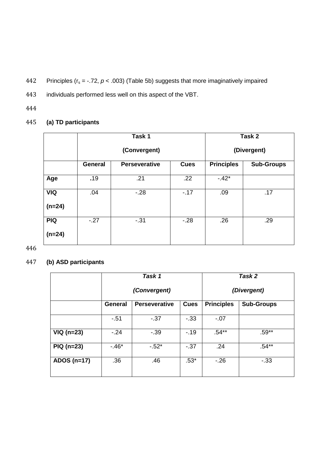442 Principles ( $r_s = -.72$ ,  $p < .003$ ) (Table 5b) suggests that more imaginatively impaired

- 443 individuals performed less well on this aspect of the VBT.
- 444

### 445 **(a) TD participants**

|            |                 | Task 1               | Task 2            |                   |     |
|------------|-----------------|----------------------|-------------------|-------------------|-----|
|            |                 | (Convergent)         | (Divergent)       |                   |     |
|            | <b>General</b>  | <b>Perseverative</b> | <b>Principles</b> | <b>Sub-Groups</b> |     |
| Age        | .19             | .21                  | .22               | $-42*$            |     |
| <b>VIQ</b> | .04<br>$-28$    |                      | $-17$             | .09               | .17 |
| $(n=24)$   |                 |                      |                   |                   |     |
| <b>PIQ</b> | $-.27$<br>$-31$ |                      | $-28$             | .26               | .29 |
| $(n=24)$   |                 |                      |                   |                   |     |

446

## 447 **(b) ASD participants**

|               |                | Task 1                                                   | Task 2      |         |                   |
|---------------|----------------|----------------------------------------------------------|-------------|---------|-------------------|
|               |                | (Convergent)                                             | (Divergent) |         |                   |
|               | <b>General</b> | <b>Principles</b><br><b>Perseverative</b><br><b>Cues</b> |             |         | <b>Sub-Groups</b> |
|               | $-51$          | $-37$                                                    | $-33$       | $-0.07$ |                   |
| $VIQ$ (n=23)  | $-.24$         | $-39$                                                    | $-19$       | $.54**$ | $.59**$           |
| $PIQ(n=23)$   | $-46*$         | $-52*$                                                   | $-37$       | .24     | $.54**$           |
| ADOS $(n=17)$ | .36            | .46                                                      | $.53*$      | $-26$   | $-33$             |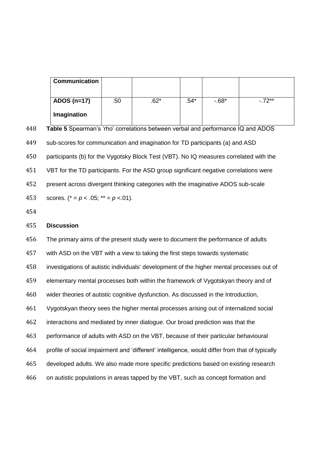| <b>Communication</b> |     |        |        |          |         |
|----------------------|-----|--------|--------|----------|---------|
| ADOS $(n=17)$        | .50 | $.62*$ | $.54*$ | $-0.68*$ | $-72**$ |
| Imagination          |     |        |        |          |         |

| 448 | Table 5 Spearman's 'rho' correlations between verbal and performance IQ and ADOS       |  |  |  |
|-----|----------------------------------------------------------------------------------------|--|--|--|
| 449 | sub-scores for communication and imagination for TD participants (a) and ASD           |  |  |  |
| 450 | participants (b) for the Vygotsky Block Test (VBT). No IQ measures correlated with the |  |  |  |
| 451 | VBT for the TD participants. For the ASD group significant negative correlations were  |  |  |  |
| 452 | present across divergent thinking categories with the imaginative ADOS sub-scale       |  |  |  |
| 453 | scores. $(* = p < .05; ** = p < .01).$                                                 |  |  |  |

#### **Discussion**

 The primary aims of the present study were to document the performance of adults with ASD on the VBT with a view to taking the first steps towards systematic investigations of autistic individuals' development of the higher mental processes out of elementary mental processes both within the framework of Vygotskyan theory and of wider theories of autistic cognitive dysfunction. As discussed in the Introduction, Vygotskyan theory sees the higher mental processes arising out of internalized social interactions and mediated by inner dialogue. Our broad prediction was that the performance of adults with ASD on the VBT, because of their particular behavioural profile of social impairment and 'different' intelligence, would differ from that of typically developed adults. We also made more specific predictions based on existing research on autistic populations in areas tapped by the VBT, such as concept formation and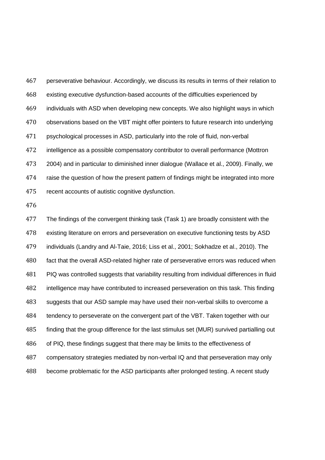perseverative behaviour. Accordingly, we discuss its results in terms of their relation to existing executive dysfunction-based accounts of the difficulties experienced by individuals with ASD when developing new concepts. We also highlight ways in which observations based on the VBT might offer pointers to future research into underlying psychological processes in ASD, particularly into the role of fluid, non-verbal intelligence as a possible compensatory contributor to overall performance (Mottron 2004) and in particular to diminished inner dialogue (Wallace et al., 2009). Finally, we raise the question of how the present pattern of findings might be integrated into more recent accounts of autistic cognitive dysfunction.

 The findings of the convergent thinking task (Task 1) are broadly consistent with the existing literature on errors and perseveration on executive functioning tests by ASD individuals (Landry and Al-Taie, 2016; Liss et al., 2001; Sokhadze et al., 2010). The fact that the overall ASD-related higher rate of perseverative errors was reduced when PIQ was controlled suggests that variability resulting from individual differences in fluid intelligence may have contributed to increased perseveration on this task. This finding suggests that our ASD sample may have used their non-verbal skills to overcome a tendency to perseverate on the convergent part of the VBT. Taken together with our finding that the group difference for the last stimulus set (MUR) survived partialling out of PIQ, these findings suggest that there may be limits to the effectiveness of compensatory strategies mediated by non-verbal IQ and that perseveration may only become problematic for the ASD participants after prolonged testing. A recent study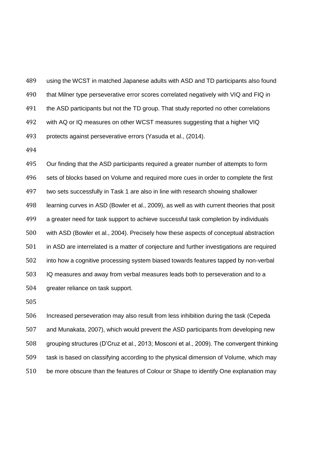using the WCST in matched Japanese adults with ASD and TD participants also found that Milner type perseverative error scores correlated negatively with VIQ and FIQ in 491 the ASD participants but not the TD group. That study reported no other correlations with AQ or IQ measures on other WCST measures suggesting that a higher VIQ protects against perseverative errors (Yasuda et al., (2014).

 Our finding that the ASD participants required a greater number of attempts to form sets of blocks based on Volume and required more cues in order to complete the first two sets successfully in Task 1 are also in line with research showing shallower learning curves in ASD (Bowler et al., 2009), as well as with current theories that posit a greater need for task support to achieve successful task completion by individuals with ASD (Bowler et al., 2004). Precisely how these aspects of conceptual abstraction in ASD are interrelated is a matter of conjecture and further investigations are required into how a cognitive processing system biased towards features tapped by non-verbal IQ measures and away from verbal measures leads both to perseveration and to a greater reliance on task support.

 Increased perseveration may also result from less inhibition during the task (Cepeda and Munakata, 2007), which would prevent the ASD participants from developing new grouping structures (D'Cruz et al., 2013; Mosconi et al., 2009). The convergent thinking task is based on classifying according to the physical dimension of Volume, which may be more obscure than the features of Colour or Shape to identify One explanation may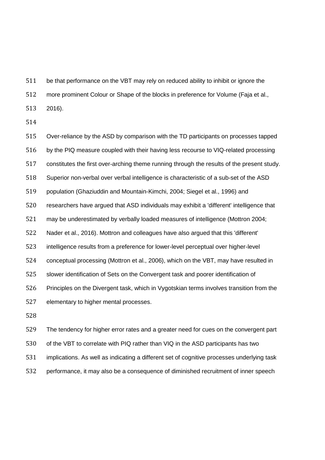be that performance on the VBT may rely on reduced ability to inhibit or ignore the

more prominent Colour or Shape of the blocks in preference for Volume (Faja et al.,

2016).

 Over-reliance by the ASD by comparison with the TD participants on processes tapped by the PIQ measure coupled with their having less recourse to VIQ-related processing constitutes the first over-arching theme running through the results of the present study. Superior non-verbal over verbal intelligence is characteristic of a sub-set of the ASD population (Ghaziuddin and Mountain-Kimchi, 2004; Siegel et al., 1996) and researchers have argued that ASD individuals may exhibit a 'different' intelligence that may be underestimated by verbally loaded measures of intelligence (Mottron 2004; Nader et al., 2016). Mottron and colleagues have also argued that this 'different' intelligence results from a preference for lower-level perceptual over higher-level conceptual processing (Mottron et al., 2006), which on the VBT, may have resulted in slower identification of Sets on the Convergent task and poorer identification of Principles on the Divergent task, which in Vygotskian terms involves transition from the elementary to higher mental processes.

 The tendency for higher error rates and a greater need for cues on the convergent part of the VBT to correlate with PIQ rather than VIQ in the ASD participants has two implications. As well as indicating a different set of cognitive processes underlying task performance, it may also be a consequence of diminished recruitment of inner speech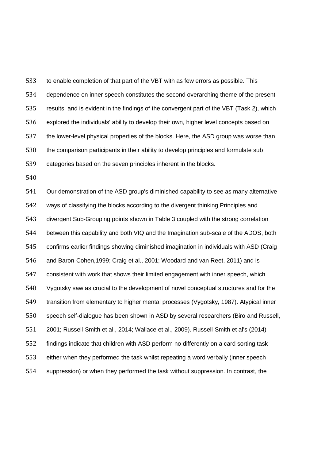to enable completion of that part of the VBT with as few errors as possible. This dependence on inner speech constitutes the second overarching theme of the present results, and is evident in the findings of the convergent part of the VBT (Task 2), which explored the individuals' ability to develop their own, higher level concepts based on the lower-level physical properties of the blocks. Here, the ASD group was worse than the comparison participants in their ability to develop principles and formulate sub categories based on the seven principles inherent in the blocks.

 Our demonstration of the ASD group's diminished capability to see as many alternative ways of classifying the blocks according to the divergent thinking Principles and divergent Sub-Grouping points shown in Table 3 coupled with the strong correlation between this capability and both VIQ and the Imagination sub-scale of the ADOS, both confirms earlier findings showing diminished imagination in individuals with ASD (Craig and Baron-Cohen,1999; Craig et al., 2001; Woodard and van Reet, 2011) and is consistent with work that shows their limited engagement with inner speech, which Vygotsky saw as crucial to the development of novel conceptual structures and for the transition from elementary to higher mental processes (Vygotsky, 1987). Atypical inner speech self-dialogue has been shown in ASD by several researchers (Biro and Russell, 2001; Russell-Smith et al., 2014; Wallace et al., 2009). Russell-Smith et al's (2014) findings indicate that children with ASD perform no differently on a card sorting task either when they performed the task whilst repeating a word verbally (inner speech suppression) or when they performed the task without suppression. In contrast, the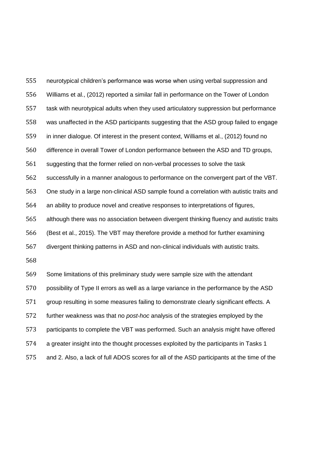neurotypical children's performance was worse when using verbal suppression and Williams et al., (2012) reported a similar fall in performance on the Tower of London task with neurotypical adults when they used articulatory suppression but performance was unaffected in the ASD participants suggesting that the ASD group failed to engage in inner dialogue. Of interest in the present context, Williams et al., (2012) found no difference in overall Tower of London performance between the ASD and TD groups, suggesting that the former relied on non-verbal processes to solve the task successfully in a manner analogous to performance on the convergent part of the VBT. One study in a large non-clinical ASD sample found a correlation with autistic traits and an ability to produce novel and creative responses to interpretations of figures, although there was no association between divergent thinking fluency and autistic traits (Best et al., 2015). The VBT may therefore provide a method for further examining divergent thinking patterns in ASD and non-clinical individuals with autistic traits. Some limitations of this preliminary study were sample size with the attendant possibility of Type II errors as well as a large variance in the performance by the ASD group resulting in some measures failing to demonstrate clearly significant effects. A further weakness was that no *post-hoc* analysis of the strategies employed by the participants to complete the VBT was performed. Such an analysis might have offered

a greater insight into the thought processes exploited by the participants in Tasks 1

and 2. Also, a lack of full ADOS scores for all of the ASD participants at the time of the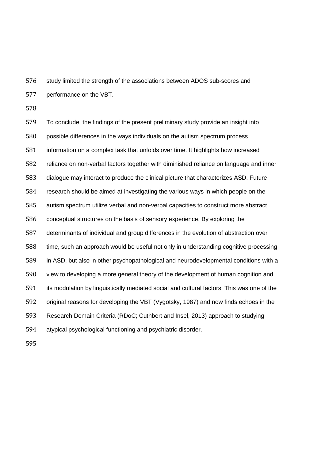study limited the strength of the associations between ADOS sub-scores and performance on the VBT.

 To conclude, the findings of the present preliminary study provide an insight into possible differences in the ways individuals on the autism spectrum process information on a complex task that unfolds over time. It highlights how increased reliance on non-verbal factors together with diminished reliance on language and inner dialogue may interact to produce the clinical picture that characterizes ASD. Future research should be aimed at investigating the various ways in which people on the autism spectrum utilize verbal and non-verbal capacities to construct more abstract conceptual structures on the basis of sensory experience. By exploring the determinants of individual and group differences in the evolution of abstraction over time, such an approach would be useful not only in understanding cognitive processing in ASD, but also in other psychopathological and neurodevelopmental conditions with a view to developing a more general theory of the development of human cognition and its modulation by linguistically mediated social and cultural factors. This was one of the original reasons for developing the VBT (Vygotsky, 1987) and now finds echoes in the Research Domain Criteria (RDoC; Cuthbert and Insel, 2013) approach to studying atypical psychological functioning and psychiatric disorder.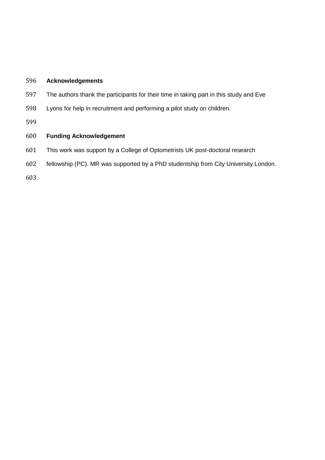#### **Acknowledgements**

- The authors thank the participants for their time in taking part in this study and Eve
- Lyons for help in recruitment and performing a pilot study on children.

#### **Funding Acknowledgement**

- This work was support by a College of Optometrists UK post-doctoral research
- fellowship (PC). MR was supported by a PhD studentship from City University London.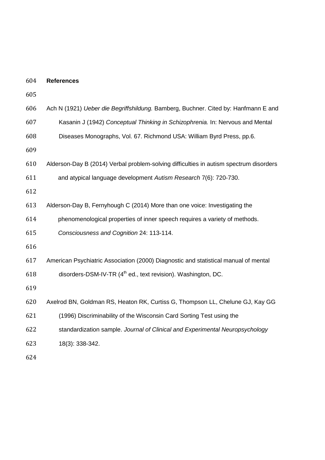| 604 | <b>References</b>                                                                      |
|-----|----------------------------------------------------------------------------------------|
| 605 |                                                                                        |
| 606 | Ach N (1921) Ueber die Begriffshildung. Bamberg, Buchner. Cited by: Hanfmann E and     |
| 607 | Kasanin J (1942) Conceptual Thinking in Schizophrenia. In: Nervous and Mental          |
| 608 | Diseases Monographs, Vol. 67. Richmond USA: William Byrd Press, pp.6.                  |
| 609 |                                                                                        |
| 610 | Alderson-Day B (2014) Verbal problem-solving difficulties in autism spectrum disorders |
| 611 | and atypical language development Autism Research 7(6): 720-730.                       |
| 612 |                                                                                        |
| 613 | Alderson-Day B, Fernyhough C (2014) More than one voice: Investigating the             |
| 614 | phenomenological properties of inner speech requires a variety of methods.             |
| 615 | Consciousness and Cognition 24: 113-114.                                               |
| 616 |                                                                                        |
| 617 | American Psychiatric Association (2000) Diagnostic and statistical manual of mental    |
| 618 | disorders-DSM-IV-TR (4 <sup>th</sup> ed., text revision). Washington, DC.              |
| 619 |                                                                                        |
| 620 | Axelrod BN, Goldman RS, Heaton RK, Curtiss G, Thompson LL, Chelune GJ, Kay GG          |
| 621 | (1996) Discriminability of the Wisconsin Card Sorting Test using the                   |
| 622 | standardization sample. Journal of Clinical and Experimental Neuropsychology           |
| 623 | 18(3): 338-342.                                                                        |
| 624 |                                                                                        |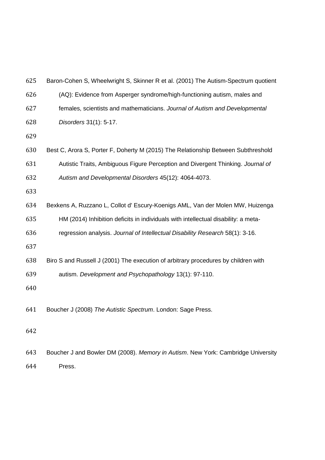| 625 | Baron-Cohen S, Wheelwright S, Skinner R et al. (2001) The Autism-Spectrum quotient |
|-----|------------------------------------------------------------------------------------|
| 626 | (AQ): Evidence from Asperger syndrome/high-functioning autism, males and           |
| 627 | females, scientists and mathematicians. Journal of Autism and Developmental        |
| 628 | Disorders 31(1): 5-17.                                                             |
| 629 |                                                                                    |
| 630 | Best C, Arora S, Porter F, Doherty M (2015) The Relationship Between Subthreshold  |
| 631 | Autistic Traits, Ambiguous Figure Perception and Divergent Thinking. Journal of    |
| 632 | Autism and Developmental Disorders 45(12): 4064-4073.                              |
| 633 |                                                                                    |
| 634 | Bexkens A, Ruzzano L, Collot d' Escury-Koenigs AML, Van der Molen MW, Huizenga     |
| 635 | HM (2014) Inhibition deficits in individuals with intellectual disability: a meta- |
| 636 | regression analysis. Journal of Intellectual Disability Research 58(1): 3-16.      |
| 637 |                                                                                    |
| 638 | Biro S and Russell J (2001) The execution of arbitrary procedures by children with |
| 639 | autism. Development and Psychopathology 13(1): 97-110.                             |
| 640 |                                                                                    |
| 641 | Boucher J (2008) The Autistic Spectrum. London: Sage Press.                        |
|     |                                                                                    |
| 642 |                                                                                    |
|     |                                                                                    |
| 643 | Boucher J and Bowler DM (2008). Memory in Autism. New York: Cambridge University   |

Press.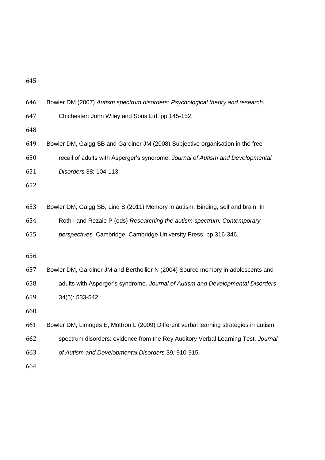| 646 |  | Bowler DM (2007) Autism spectrum disorders: Psychological theory and research. |  |
|-----|--|--------------------------------------------------------------------------------|--|
|     |  |                                                                                |  |

Chichester: John Wiley and Sons Ltd, pp.145-152.

Bowler DM, Gaigg SB and Gardiner JM (2008) Subjective organisation in the free

recall of adults with Asperger's syndrome. *Journal of Autism and Developmental* 

*Disorders* 38: 104-113.

Bowler DM, Gaigg SB, Lind S (2011) Memory in autism: Binding, self and brain. In

Roth I and Rezaie P (eds) *Researching the autism spectrum: Contemporary* 

*perspectives.* Cambridge: Cambridge University Press, pp.316-346.

 Bowler DM, Gardiner JM and Berthollier N (2004) Source memory in adolescents and adults with Asperger's syndrome. *Journal of Autism and Developmental Disorders*  34(5): 533-542.

 Bowler DM, Limoges E, Mottron L (2009) Different verbal learning strategies in autism spectrum disorders: evidence from the Rey Auditory Verbal Learning Test. *Journal of Autism and Developmental Disorders* 39*:* 910-915.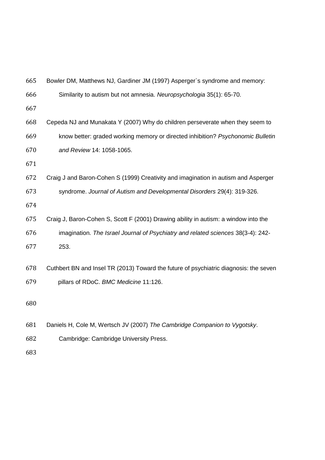| 665 | Bowler DM, Matthews NJ, Gardiner JM (1997) Asperger's syndrome and memory:            |
|-----|---------------------------------------------------------------------------------------|
| 666 | Similarity to autism but not amnesia. Neuropsychologia 35(1): 65-70.                  |
| 667 |                                                                                       |
| 668 | Cepeda NJ and Munakata Y (2007) Why do children perseverate when they seem to         |
| 669 | know better: graded working memory or directed inhibition? Psychonomic Bulletin       |
| 670 | and Review 14: 1058-1065.                                                             |
| 671 |                                                                                       |
| 672 | Craig J and Baron-Cohen S (1999) Creativity and imagination in autism and Asperger    |
| 673 | syndrome. Journal of Autism and Developmental Disorders 29(4): 319-326.               |
| 674 |                                                                                       |
| 675 | Craig J, Baron-Cohen S, Scott F (2001) Drawing ability in autism: a window into the   |
| 676 | imagination. The Israel Journal of Psychiatry and related sciences 38(3-4): 242-      |
| 677 | 253.                                                                                  |
| 678 | Cuthbert BN and Insel TR (2013) Toward the future of psychiatric diagnosis: the seven |
| 679 | pillars of RDoC. BMC Medicine 11:126.                                                 |
|     |                                                                                       |
| 680 |                                                                                       |
| 681 | Daniels H, Cole M, Wertsch JV (2007) The Cambridge Companion to Vygotsky.             |

Cambridge: Cambridge University Press.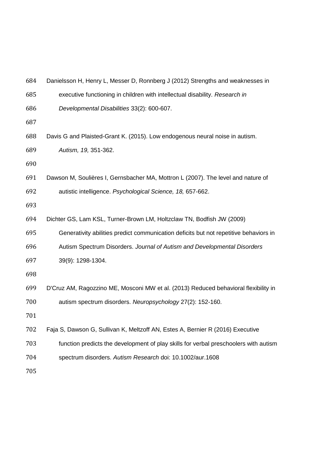| 684 | Danielsson H, Henry L, Messer D, Ronnberg J (2012) Strengths and weaknesses in        |
|-----|---------------------------------------------------------------------------------------|
| 685 | executive functioning in children with intellectual disability. Research in           |
| 686 | Developmental Disabilities 33(2): 600-607.                                            |
| 687 |                                                                                       |
| 688 | Davis G and Plaisted-Grant K. (2015). Low endogenous neural noise in autism.          |
| 689 | Autism, 19, 351-362.                                                                  |
| 690 |                                                                                       |
| 691 | Dawson M, Soulières I, Gernsbacher MA, Mottron L (2007). The level and nature of      |
| 692 | autistic intelligence. Psychological Science, 18, 657-662.                            |
| 693 |                                                                                       |
| 694 | Dichter GS, Lam KSL, Turner-Brown LM, Holtzclaw TN, Bodfish JW (2009)                 |
| 695 | Generativity abilities predict communication deficits but not repetitive behaviors in |
| 696 | Autism Spectrum Disorders. Journal of Autism and Developmental Disorders              |
| 697 | 39(9): 1298-1304.                                                                     |
| 698 |                                                                                       |
| 699 | D'Cruz AM, Ragozzino ME, Mosconi MW et al. (2013) Reduced behavioral flexibility in   |
| 700 | autism spectrum disorders. Neuropsychology 27(2): 152-160.                            |
| 701 |                                                                                       |
| 702 | Faja S, Dawson G, Sullivan K, Meltzoff AN, Estes A, Bernier R (2016) Executive        |
| 703 | function predicts the development of play skills for verbal preschoolers with autism  |
| 704 | spectrum disorders. Autism Research doi: 10.1002/aur.1608                             |
| 705 |                                                                                       |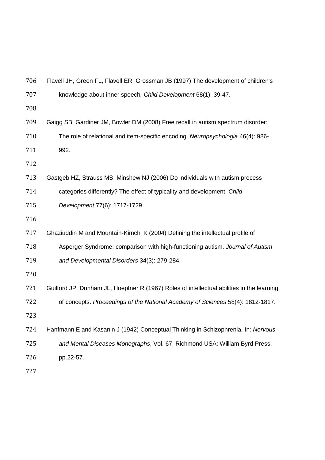| 706 | Flavell JH, Green FL, Flavell ER, Grossman JB (1997) The development of children's        |
|-----|-------------------------------------------------------------------------------------------|
| 707 | knowledge about inner speech. Child Development 68(1): 39-47.                             |
| 708 |                                                                                           |
| 709 | Gaigg SB, Gardiner JM, Bowler DM (2008) Free recall in autism spectrum disorder:          |
| 710 | The role of relational and item-specific encoding. Neuropsychologia 46(4): 986-           |
| 711 | 992.                                                                                      |
| 712 |                                                                                           |
| 713 | Gastgeb HZ, Strauss MS, Minshew NJ (2006) Do individuals with autism process              |
| 714 | categories differently? The effect of typicality and development. Child                   |
| 715 | Development 77(6): 1717-1729.                                                             |
| 716 |                                                                                           |
| 717 | Ghaziuddin M and Mountain-Kimchi K (2004) Defining the intellectual profile of            |
| 718 | Asperger Syndrome: comparison with high-functioning autism. Journal of Autism             |
| 719 | and Developmental Disorders 34(3): 279-284.                                               |
| 720 |                                                                                           |
| 721 | Guilford JP, Dunham JL, Hoepfner R (1967) Roles of intellectual abilities in the learning |
| 722 | of concepts. Proceedings of the National Academy of Sciences 58(4): 1812-1817.            |
| 723 |                                                                                           |
| 724 | Hanfmann E and Kasanin J (1942) Conceptual Thinking in Schizophrenia. In: Nervous         |
| 725 | and Mental Diseases Monographs, Vol. 67, Richmond USA: William Byrd Press,                |
| 726 | pp.22-57.                                                                                 |
| 727 |                                                                                           |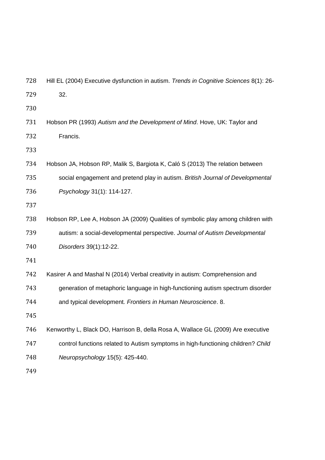| 728 | Hill EL (2004) Executive dysfunction in autism. Trends in Cognitive Sciences 8(1): 26- |
|-----|----------------------------------------------------------------------------------------|
| 729 | 32.                                                                                    |
| 730 |                                                                                        |
| 731 | Hobson PR (1993) Autism and the Development of Mind. Hove, UK: Taylor and              |
| 732 | Francis.                                                                               |
| 733 |                                                                                        |
| 734 | Hobson JA, Hobson RP, Malik S, Bargiota K, Caló S (2013) The relation between          |
| 735 | social engagement and pretend play in autism. British Journal of Developmental         |
| 736 | Psychology 31(1): 114-127.                                                             |
| 737 |                                                                                        |
| 738 | Hobson RP, Lee A, Hobson JA (2009) Qualities of symbolic play among children with      |
| 739 | autism: a social-developmental perspective. Journal of Autism Developmental            |
| 740 | Disorders 39(1):12-22.                                                                 |
| 741 |                                                                                        |
| 742 | Kasirer A and Mashal N (2014) Verbal creativity in autism: Comprehension and           |
| 743 | generation of metaphoric language in high-functioning autism spectrum disorder         |
| 744 | and typical development. Frontiers in Human Neuroscience. 8.                           |
| 745 |                                                                                        |
| 746 | Kenworthy L, Black DO, Harrison B, della Rosa A, Wallace GL (2009) Are executive       |
| 747 | control functions related to Autism symptoms in high-functioning children? Child       |
| 748 | Neuropsychology 15(5): 425-440.                                                        |
| 749 |                                                                                        |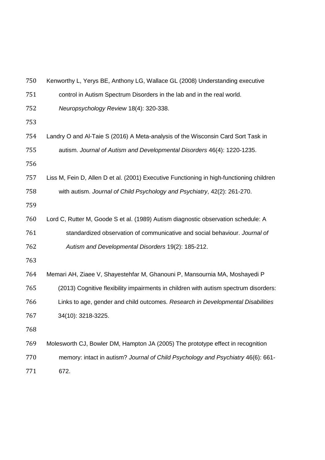| 750 | Kenworthy L, Yerys BE, Anthony LG, Wallace GL (2008) Understanding executive             |
|-----|------------------------------------------------------------------------------------------|
| 751 | control in Autism Spectrum Disorders in the lab and in the real world.                   |
| 752 | Neuropsychology Review 18(4): 320-338.                                                   |
| 753 |                                                                                          |
| 754 | Landry O and Al-Taie S (2016) A Meta-analysis of the Wisconsin Card Sort Task in         |
| 755 | autism. Journal of Autism and Developmental Disorders 46(4): 1220-1235.                  |
| 756 |                                                                                          |
| 757 | Liss M, Fein D, Allen D et al. (2001) Executive Functioning in high-functioning children |
| 758 | with autism. Journal of Child Psychology and Psychiatry, 42(2): 261-270.                 |
| 759 |                                                                                          |
| 760 | Lord C, Rutter M, Goode S et al. (1989) Autism diagnostic observation schedule: A        |
| 761 | standardized observation of communicative and social behaviour. Journal of               |
| 762 | Autism and Developmental Disorders 19(2): 185-212.                                       |
| 763 |                                                                                          |
| 764 | Memari AH, Ziaee V, Shayestehfar M, Ghanouni P, Mansournia MA, Moshayedi P               |
| 765 | (2013) Cognitive flexibility impairments in children with autism spectrum disorders:     |
| 766 | Links to age, gender and child outcomes. Research in Developmental Disabilities          |
| 767 | 34(10): 3218-3225.                                                                       |
| 768 |                                                                                          |
| 769 | Molesworth CJ, Bowler DM, Hampton JA (2005) The prototype effect in recognition          |
| 770 | memory: intact in autism? Journal of Child Psychology and Psychiatry 46(6): 661-         |
|     |                                                                                          |

672.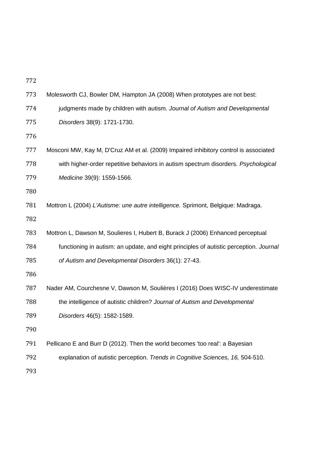| 773 | Molesworth CJ, Bowler DM, Hampton JA (2008) When prototypes are not best:              |
|-----|----------------------------------------------------------------------------------------|
| 774 | judgments made by children with autism. Journal of Autism and Developmental            |
| 775 | Disorders 38(9): 1721-1730.                                                            |
| 776 |                                                                                        |
| 777 | Mosconi MW, Kay M, D'Cruz AM et al. (2009) Impaired inhibitory control is associated   |
| 778 | with higher-order repetitive behaviors in autism spectrum disorders. Psychological     |
| 779 | Medicine 39(9): 1559-1566.                                                             |
| 780 |                                                                                        |
| 781 | Mottron L (2004) L'Autisme: une autre intelligence. Sprimont, Belgique: Madraga.       |
| 782 |                                                                                        |
| 783 | Mottron L, Dawson M, Soulieres I, Hubert B, Burack J (2006) Enhanced perceptual        |
| 784 | functioning in autism: an update, and eight principles of autistic perception. Journal |
| 785 | of Autism and Developmental Disorders 36(1): 27-43.                                    |
| 786 |                                                                                        |
| 787 | Nader AM, Courchesne V, Dawson M, Soulières I (2016) Does WISC-IV underestimate        |
| 788 | the intelligence of autistic children? Journal of Autism and Developmental             |
| 789 | Disorders 46(5): 1582-1589.                                                            |
| 790 |                                                                                        |
| 791 | Pellicano E and Burr D (2012). Then the world becomes 'too real': a Bayesian           |
| 792 | explanation of autistic perception. Trends in Cognitive Sciences, 16, 504-510.         |
|     |                                                                                        |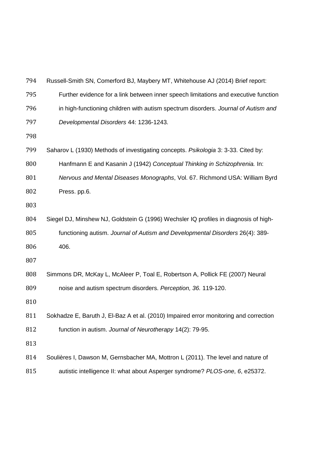| 794 | Russell-Smith SN, Comerford BJ, Maybery MT, Whitehouse AJ (2014) Brief report:        |
|-----|---------------------------------------------------------------------------------------|
| 795 | Further evidence for a link between inner speech limitations and executive function   |
| 796 | in high-functioning children with autism spectrum disorders. Journal of Autism and    |
| 797 | Developmental Disorders 44: 1236-1243.                                                |
| 798 |                                                                                       |
| 799 | Saharov L (1930) Methods of investigating concepts. Psikologia 3: 3-33. Cited by:     |
| 800 | Hanfmann E and Kasanin J (1942) Conceptual Thinking in Schizophrenia. In:             |
| 801 | Nervous and Mental Diseases Monographs, Vol. 67. Richmond USA: William Byrd           |
| 802 | Press. pp.6.                                                                          |
| 803 |                                                                                       |
| 804 | Siegel DJ, Minshew NJ, Goldstein G (1996) Wechsler IQ profiles in diagnosis of high-  |
| 805 | functioning autism. Journal of Autism and Developmental Disorders 26(4): 389-         |
| 806 | 406.                                                                                  |
| 807 |                                                                                       |
| 808 | Simmons DR, McKay L, McAleer P, Toal E, Robertson A, Pollick FE (2007) Neural         |
| 809 | noise and autism spectrum disorders. Perception, 36. 119-120.                         |
| 810 |                                                                                       |
| 811 | Sokhadze E, Baruth J, El-Baz A et al. (2010) Impaired error monitoring and correction |
| 812 | function in autism. Journal of Neurotherapy 14(2): 79-95.                             |
| 813 |                                                                                       |
| 814 | Soulières I, Dawson M, Gernsbacher MA, Mottron L (2011). The level and nature of      |
| 815 | autistic intelligence II: what about Asperger syndrome? PLOS-one, 6, e25372.          |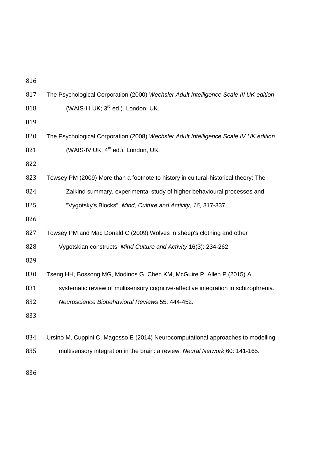| 817 | The Psychological Corporation (2000) Wechsler Adult Intelligence Scale III UK edition |
|-----|---------------------------------------------------------------------------------------|
| 818 | (WAIS-III UK; 3 <sup>rd</sup> ed.). London, UK.                                       |
| 819 |                                                                                       |
| 820 | The Psychological Corporation (2008) Wechsler Adult Intelligence Scale IV UK edition  |
| 821 | (WAIS-IV UK; 4 <sup>th</sup> ed.). London, UK.                                        |
| 822 |                                                                                       |
| 823 | Towsey PM (2009) More than a footnote to history in cultural-historical theory: The   |
| 824 | Zalkind summary, experimental study of higher behavioural processes and               |
| 825 | "Vygotsky's Blocks". Mind, Culture and Activity, 16, 317-337.                         |
| 826 |                                                                                       |
| 827 | Towsey PM and Mac Donald C (2009) Wolves in sheep's clothing and other                |
| 828 | Vygotskian constructs. Mind Culture and Activity 16(3): 234-262.                      |
| 829 |                                                                                       |
| 830 | Tseng HH, Bossong MG, Modinos G, Chen KM, McGuire P, Allen P (2015) A                 |
| 831 | systematic review of multisensory cognitive-affective integration in schizophrenia.   |
| 832 | Neuroscience Biobehavioral Reviews 55: 444-452.                                       |
| 833 |                                                                                       |
|     |                                                                                       |
| 834 | Ursino M, Cuppini C, Magosso E (2014) Neurocomputational approaches to modelling      |
| 835 | multisensory integration in the brain: a review. Neural Network 60: 141-165.          |
|     |                                                                                       |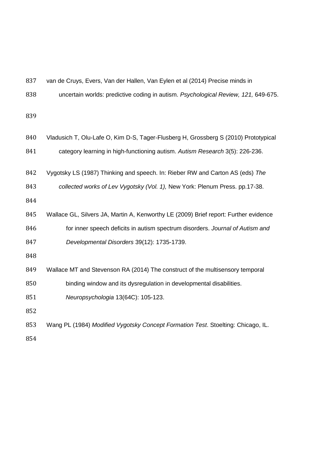| 837 | van de Cruys, Evers, Van der Hallen, Van Eylen et al (2014) Precise minds in         |
|-----|--------------------------------------------------------------------------------------|
| 838 | uncertain worlds: predictive coding in autism. Psychological Review, 121, 649-675.   |
| 839 |                                                                                      |
| 840 | Vladusich T, Olu-Lafe O, Kim D-S, Tager-Flusberg H, Grossberg S (2010) Prototypical  |
| 841 | category learning in high-functioning autism. Autism Research 3(5): 226-236.         |
| 842 | Vygotsky LS (1987) Thinking and speech. In: Rieber RW and Carton AS (eds) The        |
| 843 | collected works of Lev Vygotsky (Vol. 1), New York: Plenum Press. pp.17-38.          |
| 844 |                                                                                      |
| 845 | Wallace GL, Silvers JA, Martin A, Kenworthy LE (2009) Brief report: Further evidence |
| 846 | for inner speech deficits in autism spectrum disorders. Journal of Autism and        |
| 847 | Developmental Disorders 39(12): 1735-1739.                                           |
| 848 |                                                                                      |
| 849 | Wallace MT and Stevenson RA (2014) The construct of the multisensory temporal        |
| 850 | binding window and its dysregulation in developmental disabilities.                  |
| 851 | Neuropsychologia 13(64C): 105-123.                                                   |
| 852 |                                                                                      |
| 853 | Wang PL (1984) Modified Vygotsky Concept Formation Test. Stoelting: Chicago, IL.     |
| 854 |                                                                                      |